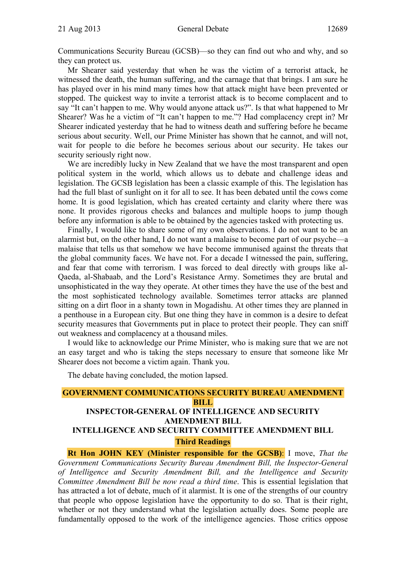Communications Security Bureau (GCSB)—so they can find out who and why, and so they can protect us.

Mr Shearer said yesterday that when he was the victim of a terrorist attack, he witnessed the death, the human suffering, and the carnage that that brings. I am sure he has played over in his mind many times how that attack might have been prevented or stopped. The quickest way to invite a terrorist attack is to become complacent and to say "It can't happen to me. Why would anyone attack us?". Is that what happened to Mr Shearer? Was he a victim of "It can't happen to me."? Had complacency crept in? Mr Shearer indicated yesterday that he had to witness death and suffering before he became serious about security. Well, our Prime Minister has shown that he cannot, and will not, wait for people to die before he becomes serious about our security. He takes our security seriously right now.

We are incredibly lucky in New Zealand that we have the most transparent and open political system in the world, which allows us to debate and challenge ideas and legislation. The GCSB legislation has been a classic example of this. The legislation has had the full blast of sunlight on it for all to see. It has been debated until the cows come home. It is good legislation, which has created certainty and clarity where there was none. It provides rigorous checks and balances and multiple hoops to jump though before any information is able to be obtained by the agencies tasked with protecting us.

Finally, I would like to share some of my own observations. I do not want to be an alarmist but, on the other hand, I do not want a malaise to become part of our psyche—a malaise that tells us that somehow we have become immunised against the threats that the global community faces. We have not. For a decade I witnessed the pain, suffering, and fear that come with terrorism. I was forced to deal directly with groups like al-Qaeda, al-Shabaab, and the Lord's Resistance Army. Sometimes they are brutal and unsophisticated in the way they operate. At other times they have the use of the best and the most sophisticated technology available. Sometimes terror attacks are planned sitting on a dirt floor in a shanty town in Mogadishu. At other times they are planned in a penthouse in a European city. But one thing they have in common is a desire to defeat security measures that Governments put in place to protect their people. They can sniff out weakness and complacency at a thousand miles.

I would like to acknowledge our Prime Minister, who is making sure that we are not an easy target and who is taking the steps necessary to ensure that someone like Mr Shearer does not become a victim again. Thank you.

The debate having concluded, the motion lapsed.

# **GOVERNMENT COMMUNICATIONS SECURITY BUREAU AMENDMENT BILL INSPECTOR-GENERAL OF INTELLIGENCE AND SECURITY**

# **AMENDMENT BILL**

# **INTELLIGENCE AND SECURITY COMMITTEE AMENDMENT BILL**

**Third Readings** 

**Rt Hon JOHN KEY (Minister responsible for the GCSB)**: I move, *That the Government Communications Security Bureau Amendment Bill, the Inspector-General of Intelligence and Security Amendment Bill, and the Intelligence and Security Committee Amendment Bill be now read a third time*. This is essential legislation that has attracted a lot of debate, much of it alarmist. It is one of the strengths of our country that people who oppose legislation have the opportunity to do so. That is their right, whether or not they understand what the legislation actually does. Some people are fundamentally opposed to the work of the intelligence agencies. Those critics oppose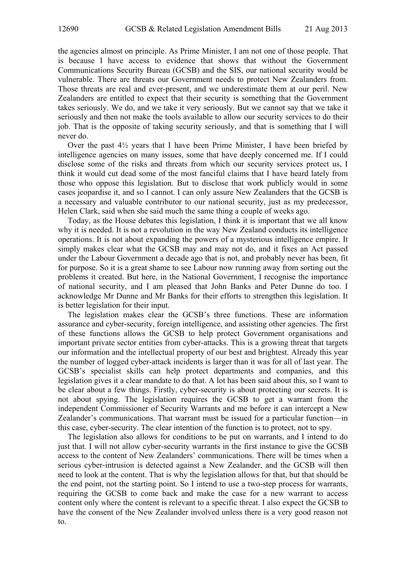the agencies almost on principle. As Prime Minister, I am not one of those people. That is because I have access to evidence that shows that without the Government Communications Security Bureau (GCSB) and the SIS, our national security would be vulnerable. There are threats our Government needs to protect New Zealanders from. Those threats are real and ever-present, and we underestimate them at our peril. New Zealanders are entitled to expect that their security is something that the Government takes seriously. We do, and we take it very seriously. But we cannot say that we take it seriously and then not make the tools available to allow our security services to do their job. That is the opposite of taking security seriously, and that is something that I will never do.

Over the past 4½ years that I have been Prime Minister, I have been briefed by intelligence agencies on many issues, some that have deeply concerned me. If I could disclose some of the risks and threats from which our security services protect us, I think it would cut dead some of the most fanciful claims that I have heard lately from those who oppose this legislation. But to disclose that work publicly would in some cases jeopardise it, and so I cannot. I can only assure New Zealanders that the GCSB is a necessary and valuable contributor to our national security, just as my predecessor, Helen Clark, said when she said much the same thing a couple of weeks ago.

Today, as the House debates this legislation, I think it is important that we all know why it is needed. It is not a revolution in the way New Zealand conducts its intelligence operations. It is not about expanding the powers of a mysterious intelligence empire. It simply makes clear what the GCSB may and may not do, and it fixes an Act passed under the Labour Government a decade ago that is not, and probably never has been, fit for purpose. So it is a great shame to see Labour now running away from sorting out the problems it created. But here, in the National Government, I recognise the importance of national security, and I am pleased that John Banks and Peter Dunne do too. I acknowledge Mr Dunne and Mr Banks for their efforts to strengthen this legislation. It is better legislation for their input.

The legislation makes clear the GCSB's three functions. These are information assurance and cyber-security, foreign intelligence, and assisting other agencies. The first of these functions allows the GCSB to help protect Government organisations and important private sector entities from cyber-attacks. This is a growing threat that targets our information and the intellectual property of our best and brightest. Already this year the number of logged cyber-attack incidents is larger than it was for all of last year. The GCSB's specialist skills can help protect departments and companies, and this legislation gives it a clear mandate to do that. A lot has been said about this, so I want to be clear about a few things. Firstly, cyber-security is about protecting our secrets. It is not about spying. The legislation requires the GCSB to get a warrant from the independent Commissioner of Security Warrants and me before it can intercept a New Zealander's communications. That warrant must be issued for a particular function—in this case, cyber-security. The clear intention of the function is to protect, not to spy.

The legislation also allows for conditions to be put on warrants, and I intend to do just that. I will not allow cyber-security warrants in the first instance to give the GCSB access to the content of New Zealanders' communications. There will be times when a serious cyber-intrusion is detected against a New Zealander, and the GCSB will then need to look at the content. That is why the legislation allows for that, but that should be the end point, not the starting point. So I intend to use a two-step process for warrants, requiring the GCSB to come back and make the case for a new warrant to access content only where the content is relevant to a specific threat. I also expect the GCSB to have the consent of the New Zealander involved unless there is a very good reason not to.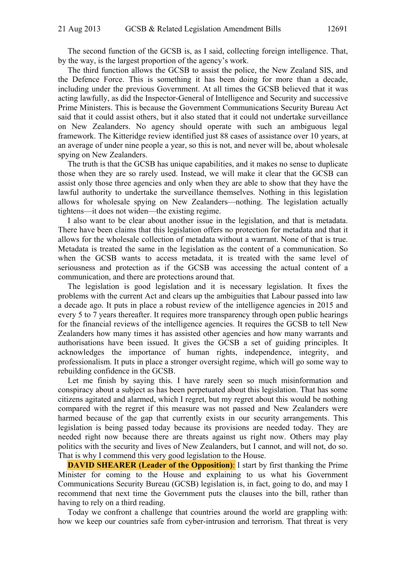The second function of the GCSB is, as I said, collecting foreign intelligence. That, by the way, is the largest proportion of the agency's work.

The third function allows the GCSB to assist the police, the New Zealand SIS, and the Defence Force. This is something it has been doing for more than a decade, including under the previous Government. At all times the GCSB believed that it was acting lawfully, as did the Inspector-General of Intelligence and Security and successive Prime Ministers. This is because the Government Communications Security Bureau Act said that it could assist others, but it also stated that it could not undertake surveillance on New Zealanders. No agency should operate with such an ambiguous legal framework. The Kitteridge review identified just 88 cases of assistance over 10 years, at an average of under nine people a year, so this is not, and never will be, about wholesale spying on New Zealanders.

The truth is that the GCSB has unique capabilities, and it makes no sense to duplicate those when they are so rarely used. Instead, we will make it clear that the GCSB can assist only those three agencies and only when they are able to show that they have the lawful authority to undertake the surveillance themselves. Nothing in this legislation allows for wholesale spying on New Zealanders—nothing. The legislation actually tightens—it does not widen—the existing regime.

I also want to be clear about another issue in the legislation, and that is metadata. There have been claims that this legislation offers no protection for metadata and that it allows for the wholesale collection of metadata without a warrant. None of that is true. Metadata is treated the same in the legislation as the content of a communication. So when the GCSB wants to access metadata, it is treated with the same level of seriousness and protection as if the GCSB was accessing the actual content of a communication, and there are protections around that.

The legislation is good legislation and it is necessary legislation. It fixes the problems with the current Act and clears up the ambiguities that Labour passed into law a decade ago. It puts in place a robust review of the intelligence agencies in 2015 and every 5 to 7 years thereafter. It requires more transparency through open public hearings for the financial reviews of the intelligence agencies. It requires the GCSB to tell New Zealanders how many times it has assisted other agencies and how many warrants and authorisations have been issued. It gives the GCSB a set of guiding principles. It acknowledges the importance of human rights, independence, integrity, and professionalism. It puts in place a stronger oversight regime, which will go some way to rebuilding confidence in the GCSB.

Let me finish by saying this. I have rarely seen so much misinformation and conspiracy about a subject as has been perpetuated about this legislation. That has some citizens agitated and alarmed, which I regret, but my regret about this would be nothing compared with the regret if this measure was not passed and New Zealanders were harmed because of the gap that currently exists in our security arrangements. This legislation is being passed today because its provisions are needed today. They are needed right now because there are threats against us right now. Others may play politics with the security and lives of New Zealanders, but I cannot, and will not, do so. That is why I commend this very good legislation to the House.

**DAVID SHEARER (Leader of the Opposition):** I start by first thanking the Prime Minister for coming to the House and explaining to us what his Government Communications Security Bureau (GCSB) legislation is, in fact, going to do, and may I recommend that next time the Government puts the clauses into the bill, rather than having to rely on a third reading.

Today we confront a challenge that countries around the world are grappling with: how we keep our countries safe from cyber-intrusion and terrorism. That threat is very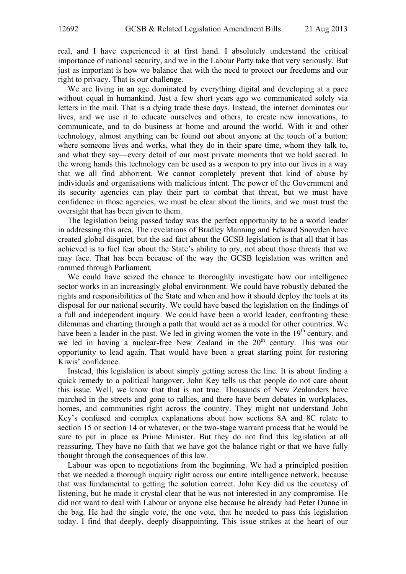real, and I have experienced it at first hand. I absolutely understand the critical importance of national security, and we in the Labour Party take that very seriously. But just as important is how we balance that with the need to protect our freedoms and our right to privacy. That is our challenge.

We are living in an age dominated by everything digital and developing at a pace without equal in humankind. Just a few short years ago we communicated solely via letters in the mail. That is a dying trade these days. Instead, the internet dominates our lives, and we use it to educate ourselves and others, to create new innovations, to communicate, and to do business at home and around the world. With it and other technology, almost anything can be found out about anyone at the touch of a button: where someone lives and works, what they do in their spare time, whom they talk to, and what they say—every detail of our most private moments that we hold sacred. In the wrong hands this technology can be used as a weapon to pry into our lives in a way that we all find abhorrent. We cannot completely prevent that kind of abuse by individuals and organisations with malicious intent. The power of the Government and its security agencies can play their part to combat that threat, but we must have confidence in those agencies, we must be clear about the limits, and we must trust the oversight that has been given to them.

The legislation being passed today was the perfect opportunity to be a world leader in addressing this area. The revelations of Bradley Manning and Edward Snowden have created global disquiet, but the sad fact about the GCSB legislation is that all that it has achieved is to fuel fear about the State's ability to pry, not about those threats that we may face. That has been because of the way the GCSB legislation was written and rammed through Parliament.

We could have seized the chance to thoroughly investigate how our intelligence sector works in an increasingly global environment. We could have robustly debated the rights and responsibilities of the State and when and how it should deploy the tools at its disposal for our national security. We could have based the legislation on the findings of a full and independent inquiry. We could have been a world leader, confronting these dilemmas and charting through a path that would act as a model for other countries. We have been a leader in the past. We led in giving women the vote in the 19<sup>th</sup> century, and we led in having a nuclear-free New Zealand in the  $20<sup>th</sup>$  century. This was our opportunity to lead again. That would have been a great starting point for restoring Kiwis' confidence.

Instead, this legislation is about simply getting across the line. It is about finding a quick remedy to a political hangover. John Key tells us that people do not care about this issue. Well, we know that that is not true. Thousands of New Zealanders have marched in the streets and gone to rallies, and there have been debates in workplaces, homes, and communities right across the country. They might not understand John Key's confused and complex explanations about how sections 8A and 8C relate to section 15 or section 14 or whatever, or the two-stage warrant process that he would be sure to put in place as Prime Minister. But they do not find this legislation at all reassuring. They have no faith that we have got the balance right or that we have fully thought through the consequences of this law.

Labour was open to negotiations from the beginning. We had a principled position that we needed a thorough inquiry right across our entire intelligence network, because that was fundamental to getting the solution correct. John Key did us the courtesy of listening, but he made it crystal clear that he was not interested in any compromise. He did not want to deal with Labour or anyone else because he already had Peter Dunne in the bag. He had the single vote, the one vote, that he needed to pass this legislation today. I find that deeply, deeply disappointing. This issue strikes at the heart of our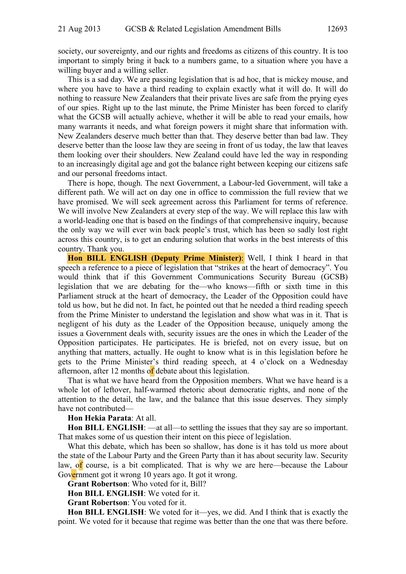society, our sovereignty, and our rights and freedoms as citizens of this country. It is too important to simply bring it back to a numbers game, to a situation where you have a willing buyer and a willing seller.

This is a sad day. We are passing legislation that is ad hoc, that is mickey mouse, and where you have to have a third reading to explain exactly what it will do. It will do nothing to reassure New Zealanders that their private lives are safe from the prying eyes of our spies. Right up to the last minute, the Prime Minister has been forced to clarify what the GCSB will actually achieve, whether it will be able to read your emails, how many warrants it needs, and what foreign powers it might share that information with. New Zealanders deserve much better than that. They deserve better than bad law. They deserve better than the loose law they are seeing in front of us today, the law that leaves them looking over their shoulders. New Zealand could have led the way in responding to an increasingly digital age and got the balance right between keeping our citizens safe and our personal freedoms intact.

There is hope, though. The next Government, a Labour-led Government, will take a different path. We will act on day one in office to commission the full review that we have promised. We will seek agreement across this Parliament for terms of reference. We will involve New Zealanders at every step of the way. We will replace this law with a world-leading one that is based on the findings of that comprehensive inquiry, because the only way we will ever win back people's trust, which has been so sadly lost right across this country, is to get an enduring solution that works in the best interests of this country. Thank you.

**Hon BILL ENGLISH (Deputy Prime Minister)**: Well, I think I heard in that speech a reference to a piece of legislation that "strikes at the heart of democracy". You would think that if this Government Communications Security Bureau (GCSB) legislation that we are debating for the—who knows—fifth or sixth time in this Parliament struck at the heart of democracy, the Leader of the Opposition could have told us how, but he did not. In fact, he pointed out that he needed a third reading speech from the Prime Minister to understand the legislation and show what was in it. That is negligent of his duty as the Leader of the Opposition because, uniquely among the issues a Government deals with, security issues are the ones in which the Leader of the Opposition participates. He participates. He is briefed, not on every issue, but on anything that matters, actually. He ought to know what is in this legislation before he gets to the Prime Minister's third reading speech, at 4 o'clock on a Wednesday afternoon, after 12 months of debate about this legislation.

That is what we have heard from the Opposition members. What we have heard is a whole lot of leftover, half-warmed rhetoric about democratic rights, and none of the attention to the detail, the law, and the balance that this issue deserves. They simply have not contributed—

#### **Hon Hekia Parata**: At all.

**Hon BILL ENGLISH**: —at all—to settling the issues that they say are so important. That makes some of us question their intent on this piece of legislation.

What this debate, which has been so shallow, has done is it has told us more about the state of the Labour Party and the Green Party than it has about security law. Security law, of course, is a bit complicated. That is why we are here—because the Labour Government got it wrong 10 years ago. It got it wrong.

**Grant Robertson**: Who voted for it, Bill?

**Hon BILL ENGLISH**: We voted for it.

**Grant Robertson**: You voted for it.

**Hon BILL ENGLISH**: We voted for it—yes, we did. And I think that is exactly the point. We voted for it because that regime was better than the one that was there before.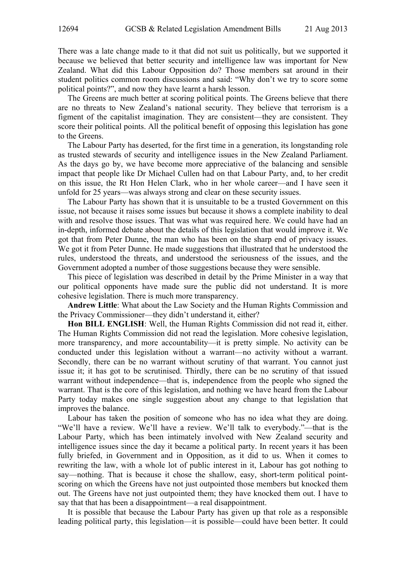There was a late change made to it that did not suit us politically, but we supported it because we believed that better security and intelligence law was important for New Zealand. What did this Labour Opposition do? Those members sat around in their student politics common room discussions and said: "Why don't we try to score some political points?", and now they have learnt a harsh lesson.

The Greens are much better at scoring political points. The Greens believe that there are no threats to New Zealand's national security. They believe that terrorism is a figment of the capitalist imagination. They are consistent—they are consistent. They score their political points. All the political benefit of opposing this legislation has gone to the Greens.

The Labour Party has deserted, for the first time in a generation, its longstanding role as trusted stewards of security and intelligence issues in the New Zealand Parliament. As the days go by, we have become more appreciative of the balancing and sensible impact that people like Dr Michael Cullen had on that Labour Party, and, to her credit on this issue, the Rt Hon Helen Clark, who in her whole career—and I have seen it unfold for 25 years—was always strong and clear on these security issues.

The Labour Party has shown that it is unsuitable to be a trusted Government on this issue, not because it raises some issues but because it shows a complete inability to deal with and resolve those issues. That was what was required here. We could have had an in-depth, informed debate about the details of this legislation that would improve it. We got that from Peter Dunne, the man who has been on the sharp end of privacy issues. We got it from Peter Dunne. He made suggestions that illustrated that he understood the rules, understood the threats, and understood the seriousness of the issues, and the Government adopted a number of those suggestions because they were sensible.

This piece of legislation was described in detail by the Prime Minister in a way that our political opponents have made sure the public did not understand. It is more cohesive legislation. There is much more transparency.

**Andrew Little**: What about the Law Society and the Human Rights Commission and the Privacy Commissioner—they didn't understand it, either?

**Hon BILL ENGLISH**: Well, the Human Rights Commission did not read it, either. The Human Rights Commission did not read the legislation. More cohesive legislation, more transparency, and more accountability—it is pretty simple. No activity can be conducted under this legislation without a warrant—no activity without a warrant. Secondly, there can be no warrant without scrutiny of that warrant. You cannot just issue it; it has got to be scrutinised. Thirdly, there can be no scrutiny of that issued warrant without independence—that is, independence from the people who signed the warrant. That is the core of this legislation, and nothing we have heard from the Labour Party today makes one single suggestion about any change to that legislation that improves the balance.

Labour has taken the position of someone who has no idea what they are doing. "We'll have a review. We'll have a review. We'll talk to everybody."—that is the Labour Party, which has been intimately involved with New Zealand security and intelligence issues since the day it became a political party. In recent years it has been fully briefed, in Government and in Opposition, as it did to us. When it comes to rewriting the law, with a whole lot of public interest in it, Labour has got nothing to say—nothing. That is because it chose the shallow, easy, short-term political pointscoring on which the Greens have not just outpointed those members but knocked them out. The Greens have not just outpointed them; they have knocked them out. I have to say that that has been a disappointment—a real disappointment.

It is possible that because the Labour Party has given up that role as a responsible leading political party, this legislation—it is possible—could have been better. It could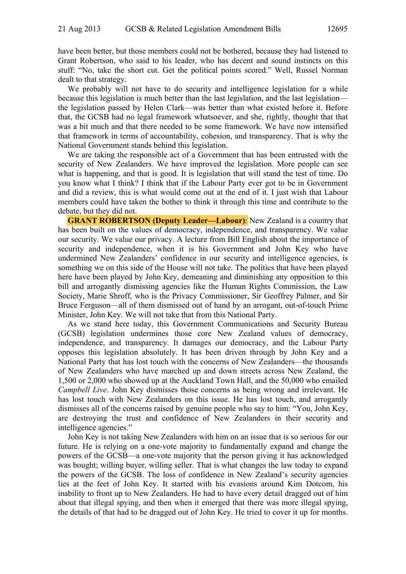have been better, but those members could not be bothered, because they had listened to Grant Robertson, who said to his leader, who has decent and sound instincts on this stuff: "No, take the short cut. Get the political points scored." Well, Russel Norman dealt to that strategy.

We probably will not have to do security and intelligence legislation for a while because this legislation is much better than the last legislation, and the last legislation the legislation passed by Helen Clark—was better than what existed before it. Before that, the GCSB had no legal framework whatsoever, and she, rightly, thought that that was a bit much and that there needed to be some framework. We have now intensified that framework in terms of accountability, cohesion, and transparency. That is why the National Government stands behind this legislation.

We are taking the responsible act of a Government that has been entrusted with the security of New Zealanders. We have improved the legislation. More people can see what is happening, and that is good. It is legislation that will stand the test of time. Do you know what I think? I think that if the Labour Party ever got to be in Government and did a review, this is what would come out at the end of it. I just wish that Labour members could have taken the bother to think it through this time and contribute to the debate, but they did not.

**GRANT ROBERTSON (Deputy Leader—Labour)**: New Zealand is a country that has been built on the values of democracy, independence, and transparency. We value our security. We value our privacy. A lecture from Bill English about the importance of security and independence, when it is his Government and John Key who have undermined New Zealanders' confidence in our security and intelligence agencies, is something we on this side of the House will not take. The politics that have been played here have been played by John Key, demeaning and diminishing any opposition to this bill and arrogantly dismissing agencies like the Human Rights Commission, the Law Society, Marie Shroff, who is the Privacy Commissioner, Sir Geoffrey Palmer, and Sir Bruce Ferguson—all of them dismissed out of hand by an arrogant, out-of-touch Prime Minister, John Key. We will not take that from this National Party.

As we stand here today, this Government Communications and Security Bureau (GCSB) legislation undermines those core New Zealand values of democracy, independence, and transparency. It damages our democracy, and the Labour Party opposes this legislation absolutely. It has been driven through by John Key and a National Party that has lost touch with the concerns of New Zealanders—the thousands of New Zealanders who have marched up and down streets across New Zealand, the 1,500 or 2,000 who showed up at the Auckland Town Hall, and the 50,000 who emailed *Campbell Live*. John Key dismisses those concerns as being wrong and irrelevant. He has lost touch with New Zealanders on this issue. He has lost touch, and arrogantly dismisses all of the concerns raised by genuine people who say to him: "You, John Key, are destroying the trust and confidence of New Zealanders in their security and intelligence agencies."

John Key is not taking New Zealanders with him on an issue that is so serious for our future. He is relying on a one-vote majority to fundamentally expand and change the powers of the GCSB—a one-vote majority that the person giving it has acknowledged was bought; willing buyer, willing seller. That is what changes the law today to expand the powers of the GCSB. The loss of confidence in New Zealand's security agencies lies at the feet of John Key. It started with his evasions around Kim Dotcom, his inability to front up to New Zealanders. He had to have every detail dragged out of him about that illegal spying, and then when it emerged that there was more illegal spying, the details of that had to be dragged out of John Key. He tried to cover it up for months.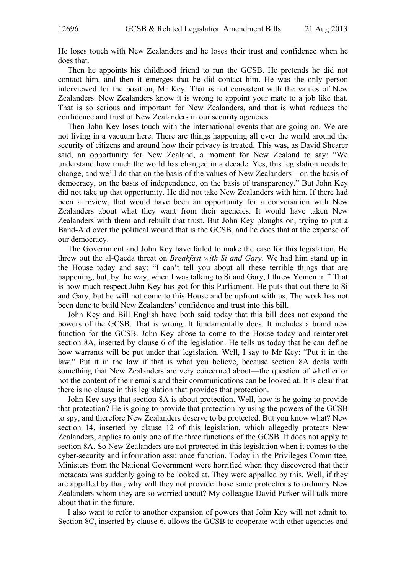He loses touch with New Zealanders and he loses their trust and confidence when he does that.

Then he appoints his childhood friend to run the GCSB. He pretends he did not contact him, and then it emerges that he did contact him. He was the only person interviewed for the position, Mr Key. That is not consistent with the values of New Zealanders. New Zealanders know it is wrong to appoint your mate to a job like that. That is so serious and important for New Zealanders, and that is what reduces the confidence and trust of New Zealanders in our security agencies.

Then John Key loses touch with the international events that are going on. We are not living in a vacuum here. There are things happening all over the world around the security of citizens and around how their privacy is treated. This was, as David Shearer said, an opportunity for New Zealand, a moment for New Zealand to say: "We understand how much the world has changed in a decade. Yes, this legislation needs to change, and we'll do that on the basis of the values of New Zealanders—on the basis of democracy, on the basis of independence, on the basis of transparency." But John Key did not take up that opportunity. He did not take New Zealanders with him. If there had been a review, that would have been an opportunity for a conversation with New Zealanders about what they want from their agencies. It would have taken New Zealanders with them and rebuilt that trust. But John Key ploughs on, trying to put a Band-Aid over the political wound that is the GCSB, and he does that at the expense of our democracy.

The Government and John Key have failed to make the case for this legislation. He threw out the al-Qaeda threat on *Breakfast with Si and Gary*. We had him stand up in the House today and say: "I can't tell you about all these terrible things that are happening, but, by the way, when I was talking to Si and Gary, I threw Yemen in." That is how much respect John Key has got for this Parliament. He puts that out there to Si and Gary, but he will not come to this House and be upfront with us. The work has not been done to build New Zealanders' confidence and trust into this bill.

John Key and Bill English have both said today that this bill does not expand the powers of the GCSB. That is wrong. It fundamentally does. It includes a brand new function for the GCSB. John Key chose to come to the House today and reinterpret section 8A, inserted by clause 6 of the legislation. He tells us today that he can define how warrants will be put under that legislation. Well, I say to Mr Key: "Put it in the law." Put it in the law if that is what you believe, because section 8A deals with something that New Zealanders are very concerned about—the question of whether or not the content of their emails and their communications can be looked at. It is clear that there is no clause in this legislation that provides that protection.

John Key says that section 8A is about protection. Well, how is he going to provide that protection? He is going to provide that protection by using the powers of the GCSB to spy, and therefore New Zealanders deserve to be protected. But you know what? New section 14, inserted by clause 12 of this legislation, which allegedly protects New Zealanders, applies to only one of the three functions of the GCSB. It does not apply to section 8A. So New Zealanders are not protected in this legislation when it comes to the cyber-security and information assurance function. Today in the Privileges Committee, Ministers from the National Government were horrified when they discovered that their metadata was suddenly going to be looked at. They were appalled by this. Well, if they are appalled by that, why will they not provide those same protections to ordinary New Zealanders whom they are so worried about? My colleague David Parker will talk more about that in the future.

I also want to refer to another expansion of powers that John Key will not admit to. Section 8C, inserted by clause 6, allows the GCSB to cooperate with other agencies and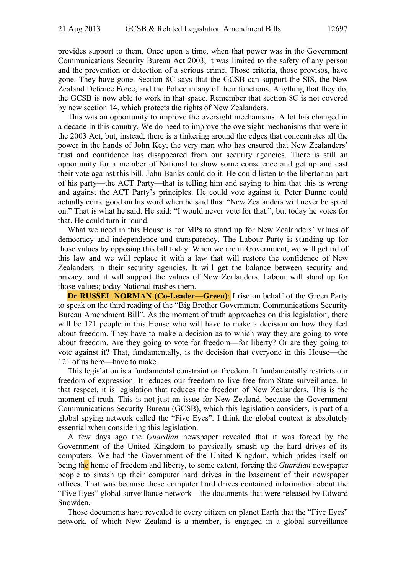provides support to them. Once upon a time, when that power was in the Government Communications Security Bureau Act 2003, it was limited to the safety of any person and the prevention or detection of a serious crime. Those criteria, those provisos, have gone. They have gone. Section 8C says that the GCSB can support the SIS, the New Zealand Defence Force, and the Police in any of their functions. Anything that they do, the GCSB is now able to work in that space. Remember that section 8C is not covered by new section 14, which protects the rights of New Zealanders.

This was an opportunity to improve the oversight mechanisms. A lot has changed in a decade in this country. We do need to improve the oversight mechanisms that were in the 2003 Act, but, instead, there is a tinkering around the edges that concentrates all the power in the hands of John Key, the very man who has ensured that New Zealanders' trust and confidence has disappeared from our security agencies. There is still an opportunity for a member of National to show some conscience and get up and cast their vote against this bill. John Banks could do it. He could listen to the libertarian part of his party—the ACT Party—that is telling him and saying to him that this is wrong and against the ACT Party's principles. He could vote against it. Peter Dunne could actually come good on his word when he said this: "New Zealanders will never be spied on." That is what he said. He said: "I would never vote for that.", but today he votes for that. He could turn it round.

What we need in this House is for MPs to stand up for New Zealanders' values of democracy and independence and transparency. The Labour Party is standing up for those values by opposing this bill today. When we are in Government, we will get rid of this law and we will replace it with a law that will restore the confidence of New Zealanders in their security agencies. It will get the balance between security and privacy, and it will support the values of New Zealanders. Labour will stand up for those values; today National trashes them.

**Dr RUSSEL NORMAN (Co-Leader—Green):** I rise on behalf of the Green Party to speak on the third reading of the "Big Brother Government Communications Security Bureau Amendment Bill". As the moment of truth approaches on this legislation, there will be 121 people in this House who will have to make a decision on how they feel about freedom. They have to make a decision as to which way they are going to vote about freedom. Are they going to vote for freedom—for liberty? Or are they going to vote against it? That, fundamentally, is the decision that everyone in this House—the 121 of us here—have to make.

This legislation is a fundamental constraint on freedom. It fundamentally restricts our freedom of expression. It reduces our freedom to live free from State surveillance. In that respect, it is legislation that reduces the freedom of New Zealanders. This is the moment of truth. This is not just an issue for New Zealand, because the Government Communications Security Bureau (GCSB), which this legislation considers, is part of a global spying network called the "Five Eyes". I think the global context is absolutely essential when considering this legislation.

A few days ago the *Guardian* newspaper revealed that it was forced by the Government of the United Kingdom to physically smash up the hard drives of its computers. We had the Government of the United Kingdom, which prides itself on being the home of freedom and liberty, to some extent, forcing the *Guardian* newspaper people to smash up their computer hard drives in the basement of their newspaper offices. That was because those computer hard drives contained information about the "Five Eyes" global surveillance network—the documents that were released by Edward Snowden.

Those documents have revealed to every citizen on planet Earth that the "Five Eyes" network, of which New Zealand is a member, is engaged in a global surveillance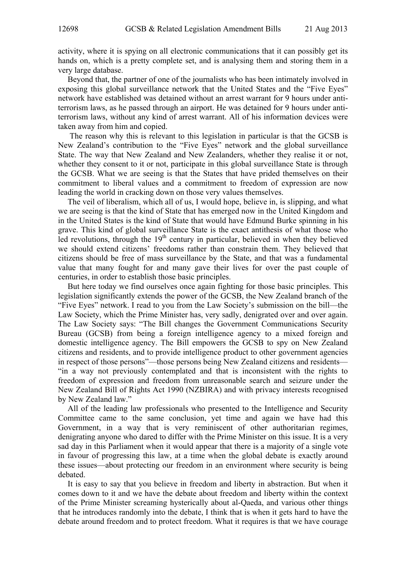activity, where it is spying on all electronic communications that it can possibly get its hands on, which is a pretty complete set, and is analysing them and storing them in a very large database.

Beyond that, the partner of one of the journalists who has been intimately involved in exposing this global surveillance network that the United States and the "Five Eyes" network have established was detained without an arrest warrant for 9 hours under antiterrorism laws, as he passed through an airport. He was detained for 9 hours under antiterrorism laws, without any kind of arrest warrant. All of his information devices were taken away from him and copied.

 The reason why this is relevant to this legislation in particular is that the GCSB is New Zealand's contribution to the "Five Eyes" network and the global surveillance State. The way that New Zealand and New Zealanders, whether they realise it or not, whether they consent to it or not, participate in this global surveillance State is through the GCSB. What we are seeing is that the States that have prided themselves on their commitment to liberal values and a commitment to freedom of expression are now leading the world in cracking down on those very values themselves.

The veil of liberalism, which all of us, I would hope, believe in, is slipping, and what we are seeing is that the kind of State that has emerged now in the United Kingdom and in the United States is the kind of State that would have Edmund Burke spinning in his grave. This kind of global surveillance State is the exact antithesis of what those who led revolutions, through the  $19<sup>th</sup>$  century in particular, believed in when they believed we should extend citizens' freedoms rather than constrain them. They believed that citizens should be free of mass surveillance by the State, and that was a fundamental value that many fought for and many gave their lives for over the past couple of centuries, in order to establish those basic principles.

But here today we find ourselves once again fighting for those basic principles. This legislation significantly extends the power of the GCSB, the New Zealand branch of the "Five Eyes" network. I read to you from the Law Society's submission on the bill—the Law Society, which the Prime Minister has, very sadly, denigrated over and over again. The Law Society says: "The Bill changes the Government Communications Security Bureau (GCSB) from being a foreign intelligence agency to a mixed foreign and domestic intelligence agency. The Bill empowers the GCSB to spy on New Zealand citizens and residents, and to provide intelligence product to other government agencies in respect of those persons"—those persons being New Zealand citizens and residents— "in a way not previously contemplated and that is inconsistent with the rights to freedom of expression and freedom from unreasonable search and seizure under the New Zealand Bill of Rights Act 1990 (NZBIRA) and with privacy interests recognised by New Zealand law."

All of the leading law professionals who presented to the Intelligence and Security Committee came to the same conclusion, yet time and again we have had this Government, in a way that is very reminiscent of other authoritarian regimes, denigrating anyone who dared to differ with the Prime Minister on this issue. It is a very sad day in this Parliament when it would appear that there is a majority of a single vote in favour of progressing this law, at a time when the global debate is exactly around these issues—about protecting our freedom in an environment where security is being debated.

It is easy to say that you believe in freedom and liberty in abstraction. But when it comes down to it and we have the debate about freedom and liberty within the context of the Prime Minister screaming hysterically about al-Qaeda, and various other things that he introduces randomly into the debate, I think that is when it gets hard to have the debate around freedom and to protect freedom. What it requires is that we have courage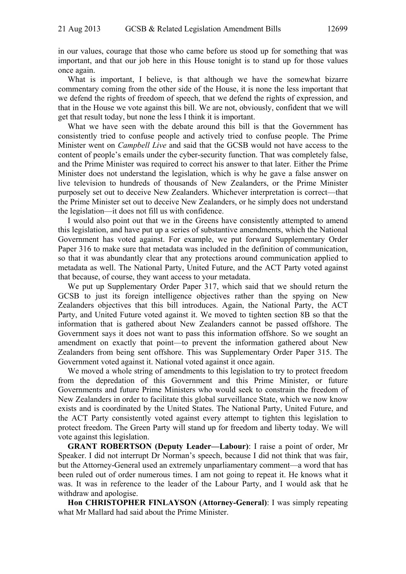in our values, courage that those who came before us stood up for something that was important, and that our job here in this House tonight is to stand up for those values once again.

What is important, I believe, is that although we have the somewhat bizarre commentary coming from the other side of the House, it is none the less important that we defend the rights of freedom of speech, that we defend the rights of expression, and that in the House we vote against this bill. We are not, obviously, confident that we will get that result today, but none the less I think it is important.

What we have seen with the debate around this bill is that the Government has consistently tried to confuse people and actively tried to confuse people. The Prime Minister went on *Campbell Live* and said that the GCSB would not have access to the content of people's emails under the cyber-security function. That was completely false, and the Prime Minister was required to correct his answer to that later. Either the Prime Minister does not understand the legislation, which is why he gave a false answer on live television to hundreds of thousands of New Zealanders, or the Prime Minister purposely set out to deceive New Zealanders. Whichever interpretation is correct—that the Prime Minister set out to deceive New Zealanders, or he simply does not understand the legislation—it does not fill us with confidence.

I would also point out that we in the Greens have consistently attempted to amend this legislation, and have put up a series of substantive amendments, which the National Government has voted against. For example, we put forward Supplementary Order Paper 316 to make sure that metadata was included in the definition of communication, so that it was abundantly clear that any protections around communication applied to metadata as well. The National Party, United Future, and the ACT Party voted against that because, of course, they want access to your metadata.

We put up Supplementary Order Paper 317, which said that we should return the GCSB to just its foreign intelligence objectives rather than the spying on New Zealanders objectives that this bill introduces. Again, the National Party, the ACT Party, and United Future voted against it. We moved to tighten section 8B so that the information that is gathered about New Zealanders cannot be passed offshore. The Government says it does not want to pass this information offshore. So we sought an amendment on exactly that point—to prevent the information gathered about New Zealanders from being sent offshore. This was Supplementary Order Paper 315. The Government voted against it. National voted against it once again.

We moved a whole string of amendments to this legislation to try to protect freedom from the depredation of this Government and this Prime Minister, or future Governments and future Prime Ministers who would seek to constrain the freedom of New Zealanders in order to facilitate this global surveillance State, which we now know exists and is coordinated by the United States. The National Party, United Future, and the ACT Party consistently voted against every attempt to tighten this legislation to protect freedom. The Green Party will stand up for freedom and liberty today. We will vote against this legislation.

**GRANT ROBERTSON (Deputy Leader—Labour)**: I raise a point of order, Mr Speaker. I did not interrupt Dr Norman's speech, because I did not think that was fair, but the Attorney-General used an extremely unparliamentary comment—a word that has been ruled out of order numerous times. I am not going to repeat it. He knows what it was. It was in reference to the leader of the Labour Party, and I would ask that he withdraw and apologise.

**Hon CHRISTOPHER FINLAYSON (Attorney-General)**: I was simply repeating what Mr Mallard had said about the Prime Minister.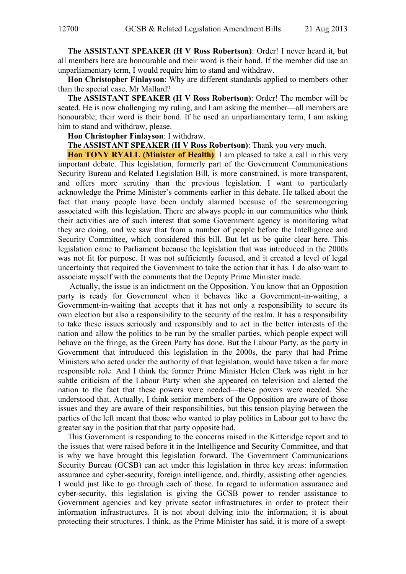**The ASSISTANT SPEAKER (H V Ross Robertson)**: Order! I never heard it, but all members here are honourable and their word is their bond. If the member did use an unparliamentary term, I would require him to stand and withdraw.

**Hon Christopher Finlayson**: Why are different standards applied to members other than the special case, Mr Mallard?

**The ASSISTANT SPEAKER (H V Ross Robertson)**: Order! The member will be seated. He is now challenging my ruling, and I am asking the member—all members are honourable; their word is their bond. If he used an unparliamentary term, I am asking him to stand and withdraw, please.

**Hon Christopher Finlayson**: I withdraw.

**The ASSISTANT SPEAKER (H V Ross Robertson)**: Thank you very much.

**Hon TONY RYALL (Minister of Health)**: I am pleased to take a call in this very important debate. This legislation, formerly part of the Government Communications Security Bureau and Related Legislation Bill, is more constrained, is more transparent, and offers more scrutiny than the previous legislation. I want to particularly acknowledge the Prime Minister's comments earlier in this debate. He talked about the fact that many people have been unduly alarmed because of the scaremongering associated with this legislation. There are always people in our communities who think their activities are of such interest that some Government agency is monitoring what they are doing, and we saw that from a number of people before the Intelligence and Security Committee, which considered this bill. But let us be quite clear here. This legislation came to Parliament because the legislation that was introduced in the 2000s was not fit for purpose. It was not sufficiently focused, and it created a level of legal uncertainty that required the Government to take the action that it has. I do also want to associate myself with the comments that the Deputy Prime Minister made.

 Actually, the issue is an indictment on the Opposition. You know that an Opposition party is ready for Government when it behaves like a Government-in-waiting, a Government-in-waiting that accepts that it has not only a responsibility to secure its own election but also a responsibility to the security of the realm. It has a responsibility to take these issues seriously and responsibly and to act in the better interests of the nation and allow the politics to be run by the smaller parties, which people expect will behave on the fringe, as the Green Party has done. But the Labour Party, as the party in Government that introduced this legislation in the 2000s, the party that had Prime Ministers who acted under the authority of that legislation, would have taken a far more responsible role. And I think the former Prime Minister Helen Clark was right in her subtle criticism of the Labour Party when she appeared on television and alerted the nation to the fact that these powers were needed—these powers were needed. She understood that. Actually, I think senior members of the Opposition are aware of those issues and they are aware of their responsibilities, but this tension playing between the parties of the left meant that those who wanted to play politics in Labour got to have the greater say in the position that that party opposite had.

This Government is responding to the concerns raised in the Kitteridge report and to the issues that were raised before it in the Intelligence and Security Committee, and that is why we have brought this legislation forward. The Government Communications Security Bureau (GCSB) can act under this legislation in three key areas: information assurance and cyber-security, foreign intelligence, and, thirdly, assisting other agencies. I would just like to go through each of those. In regard to information assurance and cyber-security, this legislation is giving the GCSB power to render assistance to Government agencies and key private sector infrastructures in order to protect their information infrastructures. It is not about delving into the information; it is about protecting their structures. I think, as the Prime Minister has said, it is more of a swept-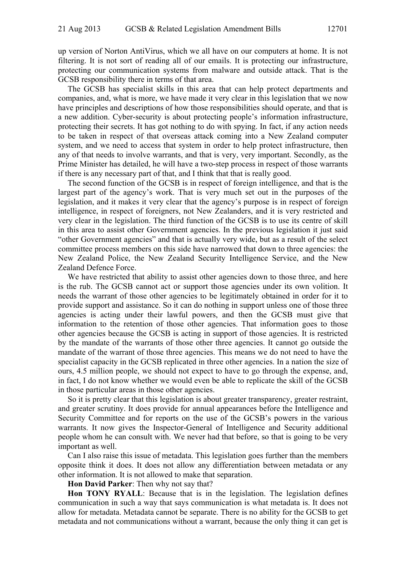up version of Norton AntiVirus, which we all have on our computers at home. It is not filtering. It is not sort of reading all of our emails. It is protecting our infrastructure, protecting our communication systems from malware and outside attack. That is the GCSB responsibility there in terms of that area.

The GCSB has specialist skills in this area that can help protect departments and companies, and, what is more, we have made it very clear in this legislation that we now have principles and descriptions of how those responsibilities should operate, and that is a new addition. Cyber-security is about protecting people's information infrastructure, protecting their secrets. It has got nothing to do with spying. In fact, if any action needs to be taken in respect of that overseas attack coming into a New Zealand computer system, and we need to access that system in order to help protect infrastructure, then any of that needs to involve warrants, and that is very, very important. Secondly, as the Prime Minister has detailed, he will have a two-step process in respect of those warrants if there is any necessary part of that, and I think that that is really good.

The second function of the GCSB is in respect of foreign intelligence, and that is the largest part of the agency's work. That is very much set out in the purposes of the legislation, and it makes it very clear that the agency's purpose is in respect of foreign intelligence, in respect of foreigners, not New Zealanders, and it is very restricted and very clear in the legislation. The third function of the GCSB is to use its centre of skill in this area to assist other Government agencies. In the previous legislation it just said "other Government agencies" and that is actually very wide, but as a result of the select committee process members on this side have narrowed that down to three agencies: the New Zealand Police, the New Zealand Security Intelligence Service, and the New Zealand Defence Force.

We have restricted that ability to assist other agencies down to those three, and here is the rub. The GCSB cannot act or support those agencies under its own volition. It needs the warrant of those other agencies to be legitimately obtained in order for it to provide support and assistance. So it can do nothing in support unless one of those three agencies is acting under their lawful powers, and then the GCSB must give that information to the retention of those other agencies. That information goes to those other agencies because the GCSB is acting in support of those agencies. It is restricted by the mandate of the warrants of those other three agencies. It cannot go outside the mandate of the warrant of those three agencies. This means we do not need to have the specialist capacity in the GCSB replicated in three other agencies. In a nation the size of ours, 4.5 million people, we should not expect to have to go through the expense, and, in fact, I do not know whether we would even be able to replicate the skill of the GCSB in those particular areas in those other agencies.

So it is pretty clear that this legislation is about greater transparency, greater restraint, and greater scrutiny. It does provide for annual appearances before the Intelligence and Security Committee and for reports on the use of the GCSB's powers in the various warrants. It now gives the Inspector-General of Intelligence and Security additional people whom he can consult with. We never had that before, so that is going to be very important as well.

Can I also raise this issue of metadata. This legislation goes further than the members opposite think it does. It does not allow any differentiation between metadata or any other information. It is not allowed to make that separation.

**Hon David Parker**: Then why not say that?

**Hon TONY RYALL**: Because that is in the legislation. The legislation defines communication in such a way that says communication is what metadata is. It does not allow for metadata. Metadata cannot be separate. There is no ability for the GCSB to get metadata and not communications without a warrant, because the only thing it can get is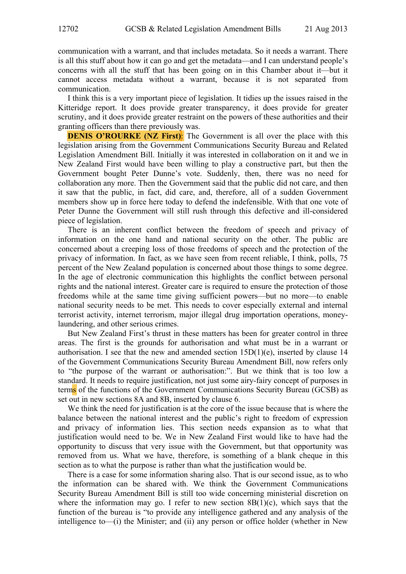communication with a warrant, and that includes metadata. So it needs a warrant. There is all this stuff about how it can go and get the metadata—and I can understand people's concerns with all the stuff that has been going on in this Chamber about it—but it cannot access metadata without a warrant, because it is not separated from communication.

I think this is a very important piece of legislation. It tidies up the issues raised in the Kitteridge report. It does provide greater transparency, it does provide for greater scrutiny, and it does provide greater restraint on the powers of these authorities and their granting officers than there previously was.

**DENIS O'ROURKE (NZ First):** The Government is all over the place with this legislation arising from the Government Communications Security Bureau and Related Legislation Amendment Bill. Initially it was interested in collaboration on it and we in New Zealand First would have been willing to play a constructive part, but then the Government bought Peter Dunne's vote. Suddenly, then, there was no need for collaboration any more. Then the Government said that the public did not care, and then it saw that the public, in fact, did care, and, therefore, all of a sudden Government members show up in force here today to defend the indefensible. With that one vote of Peter Dunne the Government will still rush through this defective and ill-considered piece of legislation.

There is an inherent conflict between the freedom of speech and privacy of information on the one hand and national security on the other. The public are concerned about a creeping loss of those freedoms of speech and the protection of the privacy of information. In fact, as we have seen from recent reliable, I think, polls, 75 percent of the New Zealand population is concerned about those things to some degree. In the age of electronic communication this highlights the conflict between personal rights and the national interest. Greater care is required to ensure the protection of those freedoms while at the same time giving sufficient powers—but no more—to enable national security needs to be met. This needs to cover especially external and internal terrorist activity, internet terrorism, major illegal drug importation operations, moneylaundering, and other serious crimes.

But New Zealand First's thrust in these matters has been for greater control in three areas. The first is the grounds for authorisation and what must be in a warrant or authorisation. I see that the new and amended section 15D(1)(e), inserted by clause 14 of the Government Communications Security Bureau Amendment Bill, now refers only to "the purpose of the warrant or authorisation:". But we think that is too low a standard. It needs to require justification, not just some airy-fairy concept of purposes in terms of the functions of the Government Communications Security Bureau (GCSB) as set out in new sections 8A and 8B, inserted by clause 6.

We think the need for justification is at the core of the issue because that is where the balance between the national interest and the public's right to freedom of expression and privacy of information lies. This section needs expansion as to what that justification would need to be. We in New Zealand First would like to have had the opportunity to discuss that very issue with the Government, but that opportunity was removed from us. What we have, therefore, is something of a blank cheque in this section as to what the purpose is rather than what the justification would be.

There is a case for some information sharing also. That is our second issue, as to who the information can be shared with. We think the Government Communications Security Bureau Amendment Bill is still too wide concerning ministerial discretion on where the information may go. I refer to new section  $8B(1)(c)$ , which says that the function of the bureau is "to provide any intelligence gathered and any analysis of the intelligence to—(i) the Minister; and (ii) any person or office holder (whether in New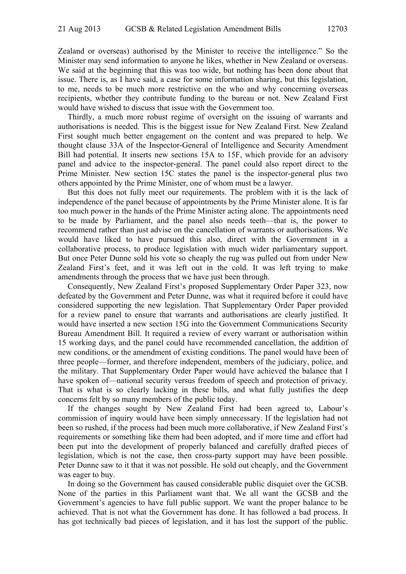Zealand or overseas) authorised by the Minister to receive the intelligence." So the Minister may send information to anyone he likes, whether in New Zealand or overseas. We said at the beginning that this was too wide, but nothing has been done about that issue. There is, as I have said, a case for some information sharing, but this legislation, to me, needs to be much more restrictive on the who and why concerning overseas recipients, whether they contribute funding to the bureau or not. New Zealand First would have wished to discuss that issue with the Government too.

Thirdly, a much more robust regime of oversight on the issuing of warrants and authorisations is needed. This is the biggest issue for New Zealand First. New Zealand First sought much better engagement on the content and was prepared to help. We thought clause 33A of the Inspector-General of Intelligence and Security Amendment Bill had potential. It inserts new sections 15A to 15F, which provide for an advisory panel and advice to the inspector-general. The panel could also report direct to the Prime Minister. New section 15C states the panel is the inspector-general plus two others appointed by the Prime Minister, one of whom must be a lawyer.

But this does not fully meet our requirements. The problem with it is the lack of independence of the panel because of appointments by the Prime Minister alone. It is far too much power in the hands of the Prime Minister acting alone. The appointments need to be made by Parliament, and the panel also needs teeth—that is, the power to recommend rather than just advise on the cancellation of warrants or authorisations. We would have liked to have pursued this also, direct with the Government in a collaborative process, to produce legislation with much wider parliamentary support. But once Peter Dunne sold his vote so cheaply the rug was pulled out from under New Zealand First's feet, and it was left out in the cold. It was left trying to make amendments through the process that we have just been through.

Consequently, New Zealand First's proposed Supplementary Order Paper 323, now defeated by the Government and Peter Dunne, was what it required before it could have considered supporting the new legislation. That Supplementary Order Paper provided for a review panel to ensure that warrants and authorisations are clearly justified. It would have inserted a new section 15G into the Government Communications Security Bureau Amendment Bill. It required a review of every warrant or authorisation within 15 working days, and the panel could have recommended cancellation, the addition of new conditions, or the amendment of existing conditions. The panel would have been of three people—former, and therefore independent, members of the judiciary, police, and the military. That Supplementary Order Paper would have achieved the balance that I have spoken of—national security versus freedom of speech and protection of privacy. That is what is so clearly lacking in these bills, and what fully justifies the deep concerns felt by so many members of the public today.

If the changes sought by New Zealand First had been agreed to, Labour's commission of inquiry would have been simply unnecessary. If the legislation had not been so rushed, if the process had been much more collaborative, if New Zealand First's requirements or something like them had been adopted, and if more time and effort had been put into the development of properly balanced and carefully drafted pieces of legislation, which is not the case, then cross-party support may have been possible. Peter Dunne saw to it that it was not possible. He sold out cheaply, and the Government was eager to buy.

In doing so the Government has caused considerable public disquiet over the GCSB. None of the parties in this Parliament want that. We all want the GCSB and the Government's agencies to have full public support. We want the proper balance to be achieved. That is not what the Government has done. It has followed a bad process. It has got technically bad pieces of legislation, and it has lost the support of the public.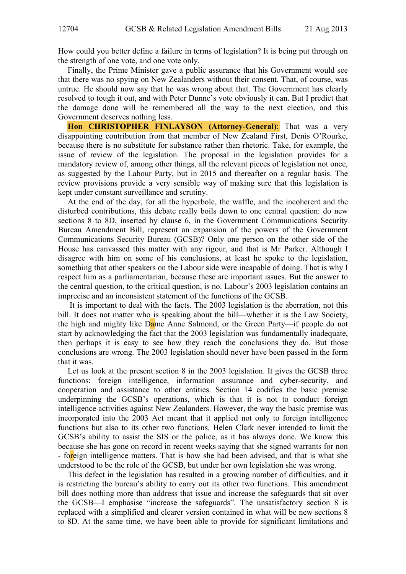How could you better define a failure in terms of legislation? It is being put through on the strength of one vote, and one vote only.

Finally, the Prime Minister gave a public assurance that his Government would see that there was no spying on New Zealanders without their consent. That, of course, was untrue. He should now say that he was wrong about that. The Government has clearly resolved to tough it out, and with Peter Dunne's vote obviously it can. But I predict that the damage done will be remembered all the way to the next election, and this Government deserves nothing less.

**Hon CHRISTOPHER FINLAYSON (Attorney-General)**: That was a very disappointing contribution from that member of New Zealand First, Denis O'Rourke, because there is no substitute for substance rather than rhetoric. Take, for example, the issue of review of the legislation. The proposal in the legislation provides for a mandatory review of, among other things, all the relevant pieces of legislation not once, as suggested by the Labour Party, but in 2015 and thereafter on a regular basis. The review provisions provide a very sensible way of making sure that this legislation is kept under constant surveillance and scrutiny.

At the end of the day, for all the hyperbole, the waffle, and the incoherent and the disturbed contributions, this debate really boils down to one central question: do new sections 8 to 8D, inserted by clause 6, in the Government Communications Security Bureau Amendment Bill, represent an expansion of the powers of the Government Communications Security Bureau (GCSB)? Only one person on the other side of the House has canvassed this matter with any rigour, and that is Mr Parker. Although I disagree with him on some of his conclusions, at least he spoke to the legislation, something that other speakers on the Labour side were incapable of doing. That is why I respect him as a parliamentarian, because these are important issues. But the answer to the central question, to the critical question, is no. Labour's 2003 legislation contains an imprecise and an inconsistent statement of the functions of the GCSB.

 It is important to deal with the facts. The 2003 legislation is the aberration, not this bill. It does not matter who is speaking about the bill—whether it is the Law Society, the high and mighty like Dame Anne Salmond, or the Green Party—if people do not start by acknowledging the fact that the 2003 legislation was fundamentally inadequate, then perhaps it is easy to see how they reach the conclusions they do. But those conclusions are wrong. The 2003 legislation should never have been passed in the form that it was.

Let us look at the present section 8 in the 2003 legislation. It gives the GCSB three functions: foreign intelligence, information assurance and cyber-security, and cooperation and assistance to other entities. Section 14 codifies the basic premise underpinning the GCSB's operations, which is that it is not to conduct foreign intelligence activities against New Zealanders. However, the way the basic premise was incorporated into the 2003 Act meant that it applied not only to foreign intelligence functions but also to its other two functions. Helen Clark never intended to limit the GCSB's ability to assist the SIS or the police, as it has always done. We know this because she has gone on record in recent weeks saying that she signed warrants for non - foreign intelligence matters. That is how she had been advised, and that is what she understood to be the role of the GCSB, but under her own legislation she was wrong.

This defect in the legislation has resulted in a growing number of difficulties, and it is restricting the bureau's ability to carry out its other two functions. This amendment bill does nothing more than address that issue and increase the safeguards that sit over the GCSB—I emphasise "increase the safeguards". The unsatisfactory section 8 is replaced with a simplified and clearer version contained in what will be new sections 8 to 8D. At the same time, we have been able to provide for significant limitations and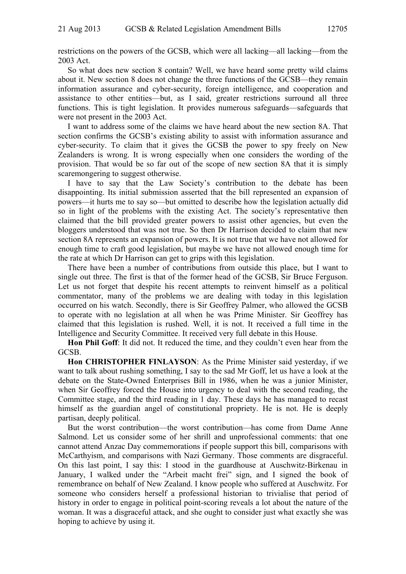restrictions on the powers of the GCSB, which were all lacking—all lacking—from the 2003 Act.

So what does new section 8 contain? Well, we have heard some pretty wild claims about it. New section 8 does not change the three functions of the GCSB—they remain information assurance and cyber-security, foreign intelligence, and cooperation and assistance to other entities—but, as I said, greater restrictions surround all three functions. This is tight legislation. It provides numerous safeguards—safeguards that were not present in the 2003 Act.

I want to address some of the claims we have heard about the new section 8A. That section confirms the GCSB's existing ability to assist with information assurance and cyber-security. To claim that it gives the GCSB the power to spy freely on New Zealanders is wrong. It is wrong especially when one considers the wording of the provision. That would be so far out of the scope of new section 8A that it is simply scaremongering to suggest otherwise.

I have to say that the Law Society's contribution to the debate has been disappointing. Its initial submission asserted that the bill represented an expansion of powers—it hurts me to say so—but omitted to describe how the legislation actually did so in light of the problems with the existing Act. The society's representative then claimed that the bill provided greater powers to assist other agencies, but even the bloggers understood that was not true. So then Dr Harrison decided to claim that new section 8A represents an expansion of powers. It is not true that we have not allowed for enough time to craft good legislation, but maybe we have not allowed enough time for the rate at which Dr Harrison can get to grips with this legislation.

There have been a number of contributions from outside this place, but I want to single out three. The first is that of the former head of the GCSB, Sir Bruce Ferguson. Let us not forget that despite his recent attempts to reinvent himself as a political commentator, many of the problems we are dealing with today in this legislation occurred on his watch. Secondly, there is Sir Geoffrey Palmer, who allowed the GCSB to operate with no legislation at all when he was Prime Minister. Sir Geoffrey has claimed that this legislation is rushed. Well, it is not. It received a full time in the Intelligence and Security Committee. It received very full debate in this House.

**Hon Phil Goff**: It did not. It reduced the time, and they couldn't even hear from the GCSB.

**Hon CHRISTOPHER FINLAYSON**: As the Prime Minister said yesterday, if we want to talk about rushing something, I say to the sad Mr Goff, let us have a look at the debate on the State-Owned Enterprises Bill in 1986, when he was a junior Minister, when Sir Geoffrey forced the House into urgency to deal with the second reading, the Committee stage, and the third reading in 1 day. These days he has managed to recast himself as the guardian angel of constitutional propriety. He is not. He is deeply partisan, deeply political.

But the worst contribution—the worst contribution—has come from Dame Anne Salmond. Let us consider some of her shrill and unprofessional comments: that one cannot attend Anzac Day commemorations if people support this bill, comparisons with McCarthyism, and comparisons with Nazi Germany. Those comments are disgraceful. On this last point, I say this: I stood in the guardhouse at Auschwitz-Birkenau in January, I walked under the "Arbeit macht frei" sign, and I signed the book of remembrance on behalf of New Zealand. I know people who suffered at Auschwitz. For someone who considers herself a professional historian to trivialise that period of history in order to engage in political point-scoring reveals a lot about the nature of the woman. It was a disgraceful attack, and she ought to consider just what exactly she was hoping to achieve by using it.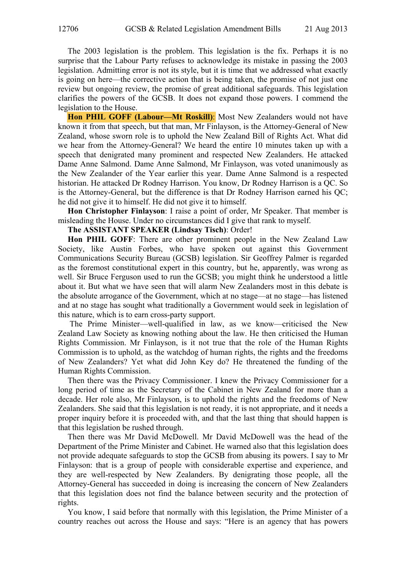The 2003 legislation is the problem. This legislation is the fix. Perhaps it is no surprise that the Labour Party refuses to acknowledge its mistake in passing the 2003 legislation. Admitting error is not its style, but it is time that we addressed what exactly is going on here—the corrective action that is being taken, the promise of not just one review but ongoing review, the promise of great additional safeguards. This legislation clarifies the powers of the GCSB. It does not expand those powers. I commend the legislation to the House.

**Hon PHIL GOFF (Labour—Mt Roskill)**: Most New Zealanders would not have known it from that speech, but that man, Mr Finlayson, is the Attorney-General of New Zealand, whose sworn role is to uphold the New Zealand Bill of Rights Act. What did we hear from the Attorney-General? We heard the entire 10 minutes taken up with a speech that denigrated many prominent and respected New Zealanders. He attacked Dame Anne Salmond. Dame Anne Salmond, Mr Finlayson, was voted unanimously as the New Zealander of the Year earlier this year. Dame Anne Salmond is a respected historian. He attacked Dr Rodney Harrison. You know, Dr Rodney Harrison is a QC. So is the Attorney-General, but the difference is that Dr Rodney Harrison earned his QC; he did not give it to himself. He did not give it to himself.

**Hon Christopher Finlayson**: I raise a point of order, Mr Speaker. That member is misleading the House. Under no circumstances did I give that rank to myself.

**The ASSISTANT SPEAKER (Lindsay Tisch)**: Order!

**Hon PHIL GOFF**: There are other prominent people in the New Zealand Law Society, like Austin Forbes, who have spoken out against this Government Communications Security Bureau (GCSB) legislation. Sir Geoffrey Palmer is regarded as the foremost constitutional expert in this country, but he, apparently, was wrong as well. Sir Bruce Ferguson used to run the GCSB; you might think he understood a little about it. But what we have seen that will alarm New Zealanders most in this debate is the absolute arrogance of the Government, which at no stage—at no stage—has listened and at no stage has sought what traditionally a Government would seek in legislation of this nature, which is to earn cross-party support.

 The Prime Minister—well-qualified in law, as we know—criticised the New Zealand Law Society as knowing nothing about the law. He then criticised the Human Rights Commission. Mr Finlayson, is it not true that the role of the Human Rights Commission is to uphold, as the watchdog of human rights, the rights and the freedoms of New Zealanders? Yet what did John Key do? He threatened the funding of the Human Rights Commission.

Then there was the Privacy Commissioner. I knew the Privacy Commissioner for a long period of time as the Secretary of the Cabinet in New Zealand for more than a decade. Her role also, Mr Finlayson, is to uphold the rights and the freedoms of New Zealanders. She said that this legislation is not ready, it is not appropriate, and it needs a proper inquiry before it is proceeded with, and that the last thing that should happen is that this legislation be rushed through.

Then there was Mr David McDowell. Mr David McDowell was the head of the Department of the Prime Minister and Cabinet. He warned also that this legislation does not provide adequate safeguards to stop the GCSB from abusing its powers. I say to Mr Finlayson: that is a group of people with considerable expertise and experience, and they are well-respected by New Zealanders. By denigrating those people, all the Attorney-General has succeeded in doing is increasing the concern of New Zealanders that this legislation does not find the balance between security and the protection of rights.

You know, I said before that normally with this legislation, the Prime Minister of a country reaches out across the House and says: "Here is an agency that has powers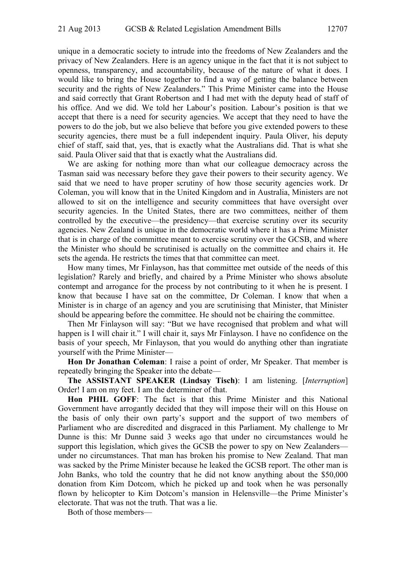unique in a democratic society to intrude into the freedoms of New Zealanders and the privacy of New Zealanders. Here is an agency unique in the fact that it is not subject to openness, transparency, and accountability, because of the nature of what it does. I would like to bring the House together to find a way of getting the balance between security and the rights of New Zealanders." This Prime Minister came into the House and said correctly that Grant Robertson and I had met with the deputy head of staff of his office. And we did. We told her Labour's position. Labour's position is that we accept that there is a need for security agencies. We accept that they need to have the powers to do the job, but we also believe that before you give extended powers to these security agencies, there must be a full independent inquiry. Paula Oliver, his deputy chief of staff, said that, yes, that is exactly what the Australians did. That is what she said. Paula Oliver said that that is exactly what the Australians did.

We are asking for nothing more than what our colleague democracy across the Tasman said was necessary before they gave their powers to their security agency. We said that we need to have proper scrutiny of how those security agencies work. Dr Coleman, you will know that in the United Kingdom and in Australia, Ministers are not allowed to sit on the intelligence and security committees that have oversight over security agencies. In the United States, there are two committees, neither of them controlled by the executive—the presidency—that exercise scrutiny over its security agencies. New Zealand is unique in the democratic world where it has a Prime Minister that is in charge of the committee meant to exercise scrutiny over the GCSB, and where the Minister who should be scrutinised is actually on the committee and chairs it. He sets the agenda. He restricts the times that that committee can meet.

How many times, Mr Finlayson, has that committee met outside of the needs of this legislation? Rarely and briefly, and chaired by a Prime Minister who shows absolute contempt and arrogance for the process by not contributing to it when he is present. I know that because I have sat on the committee, Dr Coleman. I know that when a Minister is in charge of an agency and you are scrutinising that Minister, that Minister should be appearing before the committee. He should not be chairing the committee.

Then Mr Finlayson will say: "But we have recognised that problem and what will happen is I will chair it." I will chair it, says Mr Finlayson. I have no confidence on the basis of your speech, Mr Finlayson, that you would do anything other than ingratiate yourself with the Prime Minister—

**Hon Dr Jonathan Coleman**: I raise a point of order, Mr Speaker. That member is repeatedly bringing the Speaker into the debate—

**The ASSISTANT SPEAKER (Lindsay Tisch)**: I am listening. [*Interruption*] Order! I am on my feet. I am the determiner of that.

**Hon PHIL GOFF**: The fact is that this Prime Minister and this National Government have arrogantly decided that they will impose their will on this House on the basis of only their own party's support and the support of two members of Parliament who are discredited and disgraced in this Parliament. My challenge to Mr Dunne is this: Mr Dunne said 3 weeks ago that under no circumstances would he support this legislation, which gives the GCSB the power to spy on New Zealanders under no circumstances. That man has broken his promise to New Zealand. That man was sacked by the Prime Minister because he leaked the GCSB report. The other man is John Banks, who told the country that he did not know anything about the \$50,000 donation from Kim Dotcom, which he picked up and took when he was personally flown by helicopter to Kim Dotcom's mansion in Helensville—the Prime Minister's electorate. That was not the truth. That was a lie.

Both of those members—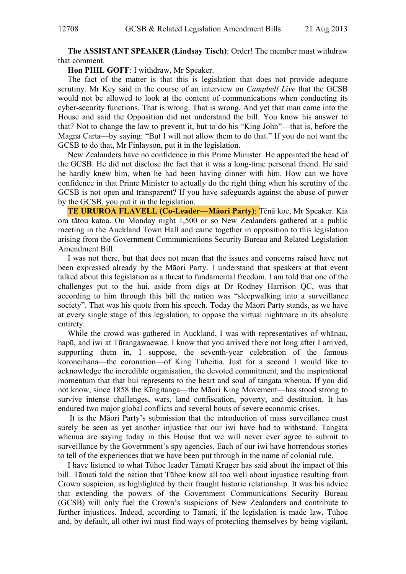**The ASSISTANT SPEAKER (Lindsay Tisch)**: Order! The member must withdraw that comment.

**Hon PHIL GOFF**: I withdraw, Mr Speaker.

The fact of the matter is that this is legislation that does not provide adequate scrutiny. Mr Key said in the course of an interview on *Campbell Live* that the GCSB would not be allowed to look at the content of communications when conducting its cyber-security functions. That is wrong. That is wrong. And yet that man came into the House and said the Opposition did not understand the bill. You know his answer to that? Not to change the law to prevent it, but to do his "King John"—that is, before the Magna Carta—by saying: "But I will not allow them to do that." If you do not want the GCSB to do that, Mr Finlayson, put it in the legislation.

New Zealanders have no confidence in this Prime Minister. He appointed the head of the GCSB. He did not disclose the fact that it was a long-time personal friend. He said he hardly knew him, when he had been having dinner with him. How can we have confidence in that Prime Minister to actually do the right thing when his scrutiny of the GCSB is not open and transparent? If you have safeguards against the abuse of power by the GCSB, you put it in the legislation.

**TE URUROA FLAVELL (Co-Leader—Māori Party)**: TƝnā koe, Mr Speaker. Kia ora tātou katoa. On Monday night 1,500 or so New Zealanders gathered at a public meeting in the Auckland Town Hall and came together in opposition to this legislation arising from the Government Communications Security Bureau and Related Legislation Amendment Bill.

I was not there, but that does not mean that the issues and concerns raised have not been expressed already by the Māori Party. I understand that speakers at that event talked about this legislation as a threat to fundamental freedom. I am told that one of the challenges put to the hui, aside from digs at Dr Rodney Harrison QC, was that according to him through this bill the nation was "sleepwalking into a surveillance society". That was his quote from his speech. Today the Māori Party stands, as we have at every single stage of this legislation, to oppose the virtual nightmare in its absolute entirety.

While the crowd was gathered in Auckland, I was with representatives of whānau, hapū, and iwi at Tūrangawaewae. I know that you arrived there not long after I arrived, supporting them in, I suppose, the seventh-year celebration of the famous koroneihana—the coronation—of King Tuheitia. Just for a second I would like to acknowledge the incredible organisation, the devoted commitment, and the inspirational momentum that that hui represents to the heart and soul of tangata whenua. If you did not know, since 1858 the Kīngitanga—the Māori King Movement—has stood strong to survive intense challenges, wars, land confiscation, poverty, and destitution. It has endured two major global conflicts and several bouts of severe economic crises.

 It is the Māori Party's submission that the introduction of mass surveillance must surely be seen as yet another injustice that our iwi have had to withstand. Tangata whenua are saying today in this House that we will never ever agree to submit to surveillance by the Government's spy agencies. Each of our iwi have horrendous stories to tell of the experiences that we have been put through in the name of colonial rule.

I have listened to what Tūhoe leader Tāmati Kruger has said about the impact of this bill. Tāmati told the nation that Tūhoe know all too well about injustice resulting from Crown suspicion, as highlighted by their fraught historic relationship. It was his advice that extending the powers of the Government Communications Security Bureau (GCSB) will only fuel the Crown's suspicions of New Zealanders and contribute to further injustices. Indeed, according to Tāmati, if the legislation is made law. Tūhoe and, by default, all other iwi must find ways of protecting themselves by being vigilant,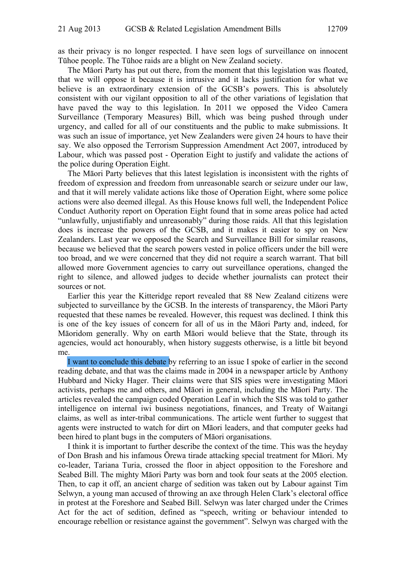as their privacy is no longer respected. I have seen logs of surveillance on innocent Tūhoe people. The Tūhoe raids are a blight on New Zealand society.

The Māori Party has put out there, from the moment that this legislation was floated, that we will oppose it because it is intrusive and it lacks justification for what we believe is an extraordinary extension of the GCSB's powers. This is absolutely consistent with our vigilant opposition to all of the other variations of legislation that have paved the way to this legislation. In 2011 we opposed the Video Camera Surveillance (Temporary Measures) Bill, which was being pushed through under urgency, and called for all of our constituents and the public to make submissions. It was such an issue of importance, yet New Zealanders were given 24 hours to have their say. We also opposed the Terrorism Suppression Amendment Act 2007, introduced by Labour, which was passed post - Operation Eight to justify and validate the actions of the police during Operation Eight.

The Māori Party believes that this latest legislation is inconsistent with the rights of freedom of expression and freedom from unreasonable search or seizure under our law, and that it will merely validate actions like those of Operation Eight, where some police actions were also deemed illegal. As this House knows full well, the Independent Police Conduct Authority report on Operation Eight found that in some areas police had acted "unlawfully, unjustifiably and unreasonably" during those raids. All that this legislation does is increase the powers of the GCSB, and it makes it easier to spy on New Zealanders. Last year we opposed the Search and Surveillance Bill for similar reasons, because we believed that the search powers vested in police officers under the bill were too broad, and we were concerned that they did not require a search warrant. That bill allowed more Government agencies to carry out surveillance operations, changed the right to silence, and allowed judges to decide whether journalists can protect their sources or not.

Earlier this year the Kitteridge report revealed that 88 New Zealand citizens were subjected to surveillance by the GCSB. In the interests of transparency, the Māori Party requested that these names be revealed. However, this request was declined. I think this is one of the key issues of concern for all of us in the Māori Party and, indeed, for Māoridom generally. Why on earth Māori would believe that the State, through its agencies, would act honourably, when history suggests otherwise, is a little bit beyond me.

I want to conclude this debate by referring to an issue I spoke of earlier in the second reading debate, and that was the claims made in 2004 in a newspaper article by Anthony Hubbard and Nicky Hager. Their claims were that SIS spies were investigating Māori activists, perhaps me and others, and Māori in general, including the Māori Party. The articles revealed the campaign coded Operation Leaf in which the SIS was told to gather intelligence on internal iwi business negotiations, finances, and Treaty of Waitangi claims, as well as inter-tribal communications. The article went further to suggest that agents were instructed to watch for dirt on Māori leaders, and that computer geeks had been hired to plant bugs in the computers of Māori organisations.

I think it is important to further describe the context of the time. This was the heyday of Don Brash and his infamous Ōrewa tirade attacking special treatment for Māori. My co-leader, Tariana Turia, crossed the floor in abject opposition to the Foreshore and Seabed Bill. The mighty Māori Party was born and took four seats at the 2005 election. Then, to cap it off, an ancient charge of sedition was taken out by Labour against Tim Selwyn, a young man accused of throwing an axe through Helen Clark's electoral office in protest at the Foreshore and Seabed Bill. Selwyn was later charged under the Crimes Act for the act of sedition, defined as "speech, writing or behaviour intended to encourage rebellion or resistance against the government". Selwyn was charged with the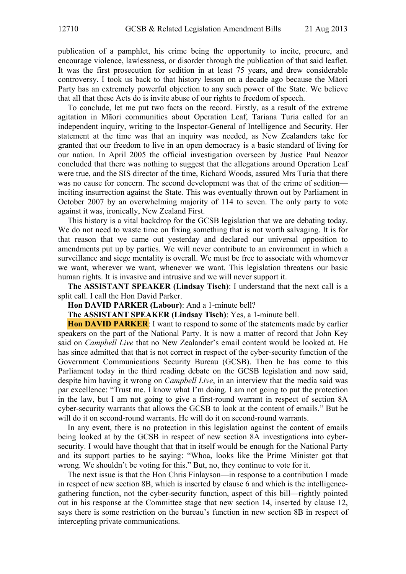publication of a pamphlet, his crime being the opportunity to incite, procure, and encourage violence, lawlessness, or disorder through the publication of that said leaflet. It was the first prosecution for sedition in at least 75 years, and drew considerable controversy. I took us back to that history lesson on a decade ago because the Māori Party has an extremely powerful objection to any such power of the State. We believe that all that these Acts do is invite abuse of our rights to freedom of speech.

To conclude, let me put two facts on the record. Firstly, as a result of the extreme agitation in Māori communities about Operation Leaf, Tariana Turia called for an independent inquiry, writing to the Inspector-General of Intelligence and Security. Her statement at the time was that an inquiry was needed, as New Zealanders take for granted that our freedom to live in an open democracy is a basic standard of living for our nation. In April 2005 the official investigation overseen by Justice Paul Neazor concluded that there was nothing to suggest that the allegations around Operation Leaf were true, and the SIS director of the time, Richard Woods, assured Mrs Turia that there was no cause for concern. The second development was that of the crime of sedition inciting insurrection against the State. This was eventually thrown out by Parliament in October 2007 by an overwhelming majority of 114 to seven. The only party to vote against it was, ironically, New Zealand First.

This history is a vital backdrop for the GCSB legislation that we are debating today. We do not need to waste time on fixing something that is not worth salvaging. It is for that reason that we came out yesterday and declared our universal opposition to amendments put up by parties. We will never contribute to an environment in which a surveillance and siege mentality is overall. We must be free to associate with whomever we want, wherever we want, whenever we want. This legislation threatens our basic human rights. It is invasive and intrusive and we will never support it.

**The ASSISTANT SPEAKER (Lindsay Tisch)**: I understand that the next call is a split call. I call the Hon David Parker.

**Hon DAVID PARKER (Labour)**: And a 1-minute bell?

**The ASSISTANT SPEAKER (Lindsay Tisch)**: Yes, a 1-minute bell.

**Hon DAVID PARKER**: I want to respond to some of the statements made by earlier speakers on the part of the National Party. It is now a matter of record that John Key said on *Campbell Live* that no New Zealander's email content would be looked at. He has since admitted that that is not correct in respect of the cyber-security function of the Government Communications Security Bureau (GCSB). Then he has come to this Parliament today in the third reading debate on the GCSB legislation and now said, despite him having it wrong on *Campbell Live*, in an interview that the media said was par excellence: "Trust me. I know what I'm doing. I am not going to put the protection in the law, but I am not going to give a first-round warrant in respect of section 8A cyber-security warrants that allows the GCSB to look at the content of emails." But he will do it on second-round warrants. He will do it on second-round warrants.

In any event, there is no protection in this legislation against the content of emails being looked at by the GCSB in respect of new section 8A investigations into cybersecurity. I would have thought that that in itself would be enough for the National Party and its support parties to be saying: "Whoa, looks like the Prime Minister got that wrong. We shouldn't be voting for this." But, no, they continue to vote for it.

The next issue is that the Hon Chris Finlayson—in response to a contribution I made in respect of new section 8B, which is inserted by clause 6 and which is the intelligencegathering function, not the cyber-security function, aspect of this bill—rightly pointed out in his response at the Committee stage that new section 14, inserted by clause 12, says there is some restriction on the bureau's function in new section 8B in respect of intercepting private communications.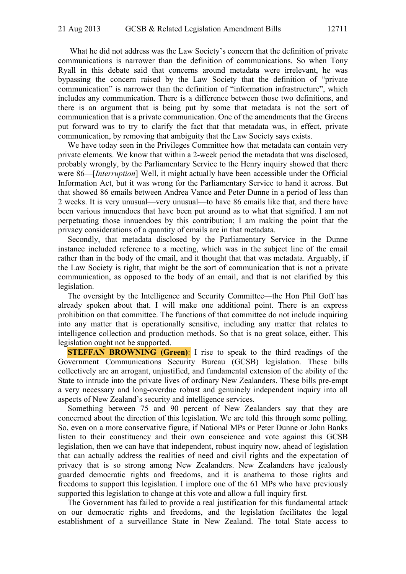What he did not address was the Law Society's concern that the definition of private communications is narrower than the definition of communications. So when Tony Ryall in this debate said that concerns around metadata were irrelevant, he was bypassing the concern raised by the Law Society that the definition of "private communication" is narrower than the definition of "information infrastructure", which includes any communication. There is a difference between those two definitions, and there is an argument that is being put by some that metadata is not the sort of communication that is a private communication. One of the amendments that the Greens put forward was to try to clarify the fact that that metadata was, in effect, private communication, by removing that ambiguity that the Law Society says exists.

We have today seen in the Privileges Committee how that metadata can contain very private elements. We know that within a 2-week period the metadata that was disclosed, probably wrongly, by the Parliamentary Service to the Henry inquiry showed that there were 86—[*Interruption*] Well, it might actually have been accessible under the Official Information Act, but it was wrong for the Parliamentary Service to hand it across. But that showed 86 emails between Andrea Vance and Peter Dunne in a period of less than 2 weeks. It is very unusual—very unusual—to have 86 emails like that, and there have been various innuendoes that have been put around as to what that signified. I am not perpetuating those innuendoes by this contribution; I am making the point that the privacy considerations of a quantity of emails are in that metadata.

Secondly, that metadata disclosed by the Parliamentary Service in the Dunne instance included reference to a meeting, which was in the subject line of the email rather than in the body of the email, and it thought that that was metadata. Arguably, if the Law Society is right, that might be the sort of communication that is not a private communication, as opposed to the body of an email, and that is not clarified by this legislation.

The oversight by the Intelligence and Security Committee—the Hon Phil Goff has already spoken about that. I will make one additional point. There is an express prohibition on that committee. The functions of that committee do not include inquiring into any matter that is operationally sensitive, including any matter that relates to intelligence collection and production methods. So that is no great solace, either. This legislation ought not be supported.

**STEFFAN BROWNING (Green):** I rise to speak to the third readings of the Government Communications Security Bureau (GCSB) legislation. These bills collectively are an arrogant, unjustified, and fundamental extension of the ability of the State to intrude into the private lives of ordinary New Zealanders. These bills pre-empt a very necessary and long-overdue robust and genuinely independent inquiry into all aspects of New Zealand's security and intelligence services.

Something between 75 and 90 percent of New Zealanders say that they are concerned about the direction of this legislation. We are told this through some polling. So, even on a more conservative figure, if National MPs or Peter Dunne or John Banks listen to their constituency and their own conscience and vote against this GCSB legislation, then we can have that independent, robust inquiry now, ahead of legislation that can actually address the realities of need and civil rights and the expectation of privacy that is so strong among New Zealanders. New Zealanders have jealously guarded democratic rights and freedoms, and it is anathema to those rights and freedoms to support this legislation. I implore one of the 61 MPs who have previously supported this legislation to change at this vote and allow a full inquiry first.

The Government has failed to provide a real justification for this fundamental attack on our democratic rights and freedoms, and the legislation facilitates the legal establishment of a surveillance State in New Zealand. The total State access to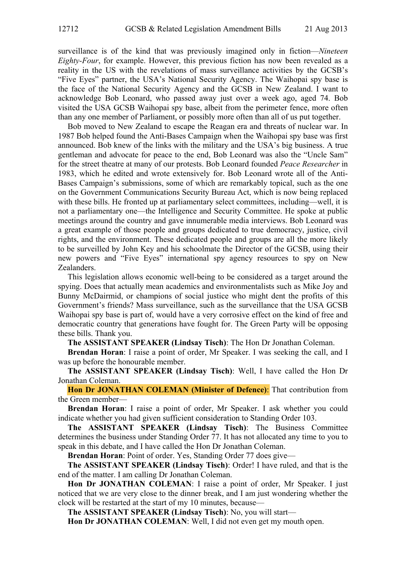surveillance is of the kind that was previously imagined only in fiction—*Nineteen Eighty-Four*, for example. However, this previous fiction has now been revealed as a reality in the US with the revelations of mass surveillance activities by the GCSB's "Five Eyes" partner, the USA's National Security Agency. The Waihopai spy base is the face of the National Security Agency and the GCSB in New Zealand. I want to acknowledge Bob Leonard, who passed away just over a week ago, aged 74. Bob visited the USA GCSB Waihopai spy base, albeit from the perimeter fence, more often than any one member of Parliament, or possibly more often than all of us put together.

Bob moved to New Zealand to escape the Reagan era and threats of nuclear war. In 1987 Bob helped found the Anti-Bases Campaign when the Waihopai spy base was first announced. Bob knew of the links with the military and the USA's big business. A true gentleman and advocate for peace to the end, Bob Leonard was also the "Uncle Sam" for the street theatre at many of our protests. Bob Leonard founded *Peace Researcher* in 1983, which he edited and wrote extensively for. Bob Leonard wrote all of the Anti-Bases Campaign's submissions, some of which are remarkably topical, such as the one on the Government Communications Security Bureau Act, which is now being replaced with these bills. He fronted up at parliamentary select committees, including—well, it is not a parliamentary one—the Intelligence and Security Committee. He spoke at public meetings around the country and gave innumerable media interviews. Bob Leonard was a great example of those people and groups dedicated to true democracy, justice, civil rights, and the environment. These dedicated people and groups are all the more likely to be surveilled by John Key and his schoolmate the Director of the GCSB, using their new powers and "Five Eyes" international spy agency resources to spy on New Zealanders.

This legislation allows economic well-being to be considered as a target around the spying. Does that actually mean academics and environmentalists such as Mike Joy and Bunny McDairmid, or champions of social justice who might dent the profits of this Government's friends? Mass surveillance, such as the surveillance that the USA GCSB Waihopai spy base is part of, would have a very corrosive effect on the kind of free and democratic country that generations have fought for. The Green Party will be opposing these bills. Thank you.

**The ASSISTANT SPEAKER (Lindsay Tisch)**: The Hon Dr Jonathan Coleman.

**Brendan Horan**: I raise a point of order, Mr Speaker. I was seeking the call, and I was up before the honourable member.

**The ASSISTANT SPEAKER (Lindsay Tisch)**: Well, I have called the Hon Dr Jonathan Coleman.

**Hon Dr JONATHAN COLEMAN (Minister of Defence)**: That contribution from the Green member—

**Brendan Horan**: I raise a point of order, Mr Speaker. I ask whether you could indicate whether you had given sufficient consideration to Standing Order 103.

**The ASSISTANT SPEAKER (Lindsay Tisch)**: The Business Committee determines the business under Standing Order 77. It has not allocated any time to you to speak in this debate, and I have called the Hon Dr Jonathan Coleman.

**Brendan Horan**: Point of order. Yes, Standing Order 77 does give—

**The ASSISTANT SPEAKER (Lindsay Tisch)**: Order! I have ruled, and that is the end of the matter. I am calling Dr Jonathan Coleman.

**Hon Dr JONATHAN COLEMAN**: I raise a point of order, Mr Speaker. I just noticed that we are very close to the dinner break, and I am just wondering whether the clock will be restarted at the start of my 10 minutes, because—

**The ASSISTANT SPEAKER (Lindsay Tisch)**: No, you will start—

**Hon Dr JONATHAN COLEMAN**: Well, I did not even get my mouth open.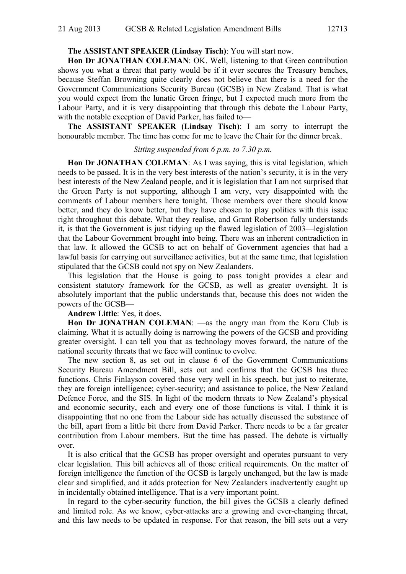## **The ASSISTANT SPEAKER (Lindsay Tisch)**: You will start now.

**Hon Dr JONATHAN COLEMAN**: OK. Well, listening to that Green contribution shows you what a threat that party would be if it ever secures the Treasury benches, because Steffan Browning quite clearly does not believe that there is a need for the Government Communications Security Bureau (GCSB) in New Zealand. That is what you would expect from the lunatic Green fringe, but I expected much more from the Labour Party, and it is very disappointing that through this debate the Labour Party, with the notable exception of David Parker, has failed to—

**The ASSISTANT SPEAKER (Lindsay Tisch)**: I am sorry to interrupt the honourable member. The time has come for me to leave the Chair for the dinner break.

#### *Sitting suspended from 6 p.m. to 7.30 p.m.*

**Hon Dr JONATHAN COLEMAN**: As I was saying, this is vital legislation, which needs to be passed. It is in the very best interests of the nation's security, it is in the very best interests of the New Zealand people, and it is legislation that I am not surprised that the Green Party is not supporting, although I am very, very disappointed with the comments of Labour members here tonight. Those members over there should know better, and they do know better, but they have chosen to play politics with this issue right throughout this debate. What they realise, and Grant Robertson fully understands it, is that the Government is just tidying up the flawed legislation of 2003—legislation that the Labour Government brought into being. There was an inherent contradiction in that law. It allowed the GCSB to act on behalf of Government agencies that had a lawful basis for carrying out surveillance activities, but at the same time, that legislation stipulated that the GCSB could not spy on New Zealanders.

This legislation that the House is going to pass tonight provides a clear and consistent statutory framework for the GCSB, as well as greater oversight. It is absolutely important that the public understands that, because this does not widen the powers of the GCSB—

### **Andrew Little**: Yes, it does.

Hon Dr JONATHAN COLEMAN:  $-\text{as}$  the angry man from the Koru Club is claiming. What it is actually doing is narrowing the powers of the GCSB and providing greater oversight. I can tell you that as technology moves forward, the nature of the national security threats that we face will continue to evolve.

The new section 8, as set out in clause 6 of the Government Communications Security Bureau Amendment Bill, sets out and confirms that the GCSB has three functions. Chris Finlayson covered those very well in his speech, but just to reiterate, they are foreign intelligence; cyber-security; and assistance to police, the New Zealand Defence Force, and the SIS. In light of the modern threats to New Zealand's physical and economic security, each and every one of those functions is vital. I think it is disappointing that no one from the Labour side has actually discussed the substance of the bill, apart from a little bit there from David Parker. There needs to be a far greater contribution from Labour members. But the time has passed. The debate is virtually over.

It is also critical that the GCSB has proper oversight and operates pursuant to very clear legislation. This bill achieves all of those critical requirements. On the matter of foreign intelligence the function of the GCSB is largely unchanged, but the law is made clear and simplified, and it adds protection for New Zealanders inadvertently caught up in incidentally obtained intelligence. That is a very important point.

In regard to the cyber-security function, the bill gives the GCSB a clearly defined and limited role. As we know, cyber-attacks are a growing and ever-changing threat, and this law needs to be updated in response. For that reason, the bill sets out a very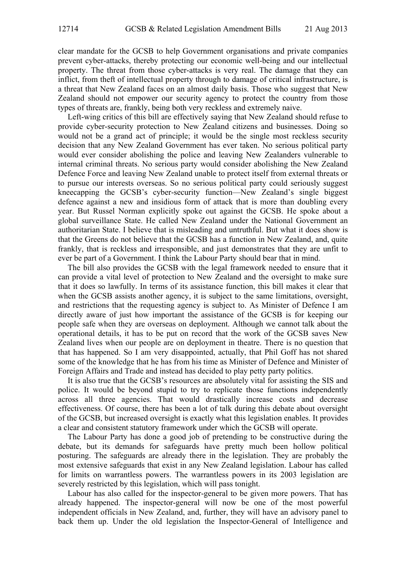clear mandate for the GCSB to help Government organisations and private companies prevent cyber-attacks, thereby protecting our economic well-being and our intellectual property. The threat from those cyber-attacks is very real. The damage that they can inflict, from theft of intellectual property through to damage of critical infrastructure, is a threat that New Zealand faces on an almost daily basis. Those who suggest that New Zealand should not empower our security agency to protect the country from those types of threats are, frankly, being both very reckless and extremely naive.

Left-wing critics of this bill are effectively saying that New Zealand should refuse to provide cyber-security protection to New Zealand citizens and businesses. Doing so would not be a grand act of principle; it would be the single most reckless security decision that any New Zealand Government has ever taken. No serious political party would ever consider abolishing the police and leaving New Zealanders vulnerable to internal criminal threats. No serious party would consider abolishing the New Zealand Defence Force and leaving New Zealand unable to protect itself from external threats or to pursue our interests overseas. So no serious political party could seriously suggest kneecapping the GCSB's cyber-security function—New Zealand's single biggest defence against a new and insidious form of attack that is more than doubling every year. But Russel Norman explicitly spoke out against the GCSB. He spoke about a global surveillance State. He called New Zealand under the National Government an authoritarian State. I believe that is misleading and untruthful. But what it does show is that the Greens do not believe that the GCSB has a function in New Zealand, and, quite frankly, that is reckless and irresponsible, and just demonstrates that they are unfit to ever be part of a Government. I think the Labour Party should bear that in mind.

The bill also provides the GCSB with the legal framework needed to ensure that it can provide a vital level of protection to New Zealand and the oversight to make sure that it does so lawfully. In terms of its assistance function, this bill makes it clear that when the GCSB assists another agency, it is subject to the same limitations, oversight, and restrictions that the requesting agency is subject to. As Minister of Defence I am directly aware of just how important the assistance of the GCSB is for keeping our people safe when they are overseas on deployment. Although we cannot talk about the operational details, it has to be put on record that the work of the GCSB saves New Zealand lives when our people are on deployment in theatre. There is no question that that has happened. So I am very disappointed, actually, that Phil Goff has not shared some of the knowledge that he has from his time as Minister of Defence and Minister of Foreign Affairs and Trade and instead has decided to play petty party politics.

It is also true that the GCSB's resources are absolutely vital for assisting the SIS and police. It would be beyond stupid to try to replicate those functions independently across all three agencies. That would drastically increase costs and decrease effectiveness. Of course, there has been a lot of talk during this debate about oversight of the GCSB, but increased oversight is exactly what this legislation enables. It provides a clear and consistent statutory framework under which the GCSB will operate.

The Labour Party has done a good job of pretending to be constructive during the debate, but its demands for safeguards have pretty much been hollow political posturing. The safeguards are already there in the legislation. They are probably the most extensive safeguards that exist in any New Zealand legislation. Labour has called for limits on warrantless powers. The warrantless powers in its 2003 legislation are severely restricted by this legislation, which will pass tonight.

Labour has also called for the inspector-general to be given more powers. That has already happened. The inspector-general will now be one of the most powerful independent officials in New Zealand, and, further, they will have an advisory panel to back them up. Under the old legislation the Inspector-General of Intelligence and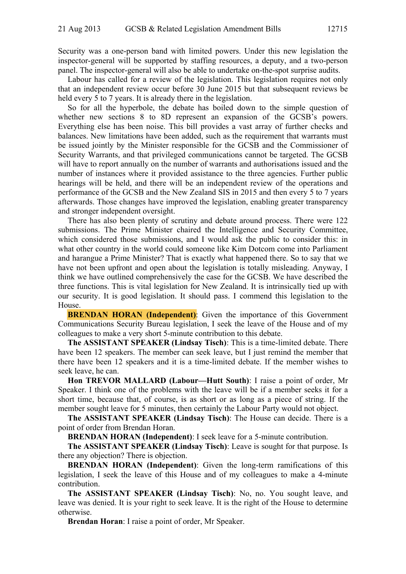Security was a one-person band with limited powers. Under this new legislation the inspector-general will be supported by staffing resources, a deputy, and a two-person panel. The inspector-general will also be able to undertake on-the-spot surprise audits.

Labour has called for a review of the legislation. This legislation requires not only that an independent review occur before 30 June 2015 but that subsequent reviews be held every 5 to 7 years. It is already there in the legislation.

So for all the hyperbole, the debate has boiled down to the simple question of whether new sections 8 to 8D represent an expansion of the GCSB's powers. Everything else has been noise. This bill provides a vast array of further checks and balances. New limitations have been added, such as the requirement that warrants must be issued jointly by the Minister responsible for the GCSB and the Commissioner of Security Warrants, and that privileged communications cannot be targeted. The GCSB will have to report annually on the number of warrants and authorisations issued and the number of instances where it provided assistance to the three agencies. Further public hearings will be held, and there will be an independent review of the operations and performance of the GCSB and the New Zealand SIS in 2015 and then every 5 to 7 years afterwards. Those changes have improved the legislation, enabling greater transparency and stronger independent oversight.

There has also been plenty of scrutiny and debate around process. There were 122 submissions. The Prime Minister chaired the Intelligence and Security Committee, which considered those submissions, and I would ask the public to consider this: in what other country in the world could someone like Kim Dotcom come into Parliament and harangue a Prime Minister? That is exactly what happened there. So to say that we have not been upfront and open about the legislation is totally misleading. Anyway, I think we have outlined comprehensively the case for the GCSB. We have described the three functions. This is vital legislation for New Zealand. It is intrinsically tied up with our security. It is good legislation. It should pass. I commend this legislation to the House.

**BRENDAN HORAN (Independent)**: Given the importance of this Government Communications Security Bureau legislation, I seek the leave of the House and of my colleagues to make a very short 5-minute contribution to this debate.

**The ASSISTANT SPEAKER (Lindsay Tisch)**: This is a time-limited debate. There have been 12 speakers. The member can seek leave, but I just remind the member that there have been 12 speakers and it is a time-limited debate. If the member wishes to seek leave, he can.

**Hon TREVOR MALLARD (Labour—Hutt South)**: I raise a point of order, Mr Speaker. I think one of the problems with the leave will be if a member seeks it for a short time, because that, of course, is as short or as long as a piece of string. If the member sought leave for 5 minutes, then certainly the Labour Party would not object.

**The ASSISTANT SPEAKER (Lindsay Tisch)**: The House can decide. There is a point of order from Brendan Horan.

**BRENDAN HORAN (Independent)**: I seek leave for a 5-minute contribution.

**The ASSISTANT SPEAKER (Lindsay Tisch)**: Leave is sought for that purpose. Is there any objection? There is objection.

**BRENDAN HORAN (Independent)**: Given the long-term ramifications of this legislation, I seek the leave of this House and of my colleagues to make a 4-minute contribution.

**The ASSISTANT SPEAKER (Lindsay Tisch)**: No, no. You sought leave, and leave was denied. It is your right to seek leave. It is the right of the House to determine otherwise.

**Brendan Horan**: I raise a point of order, Mr Speaker.